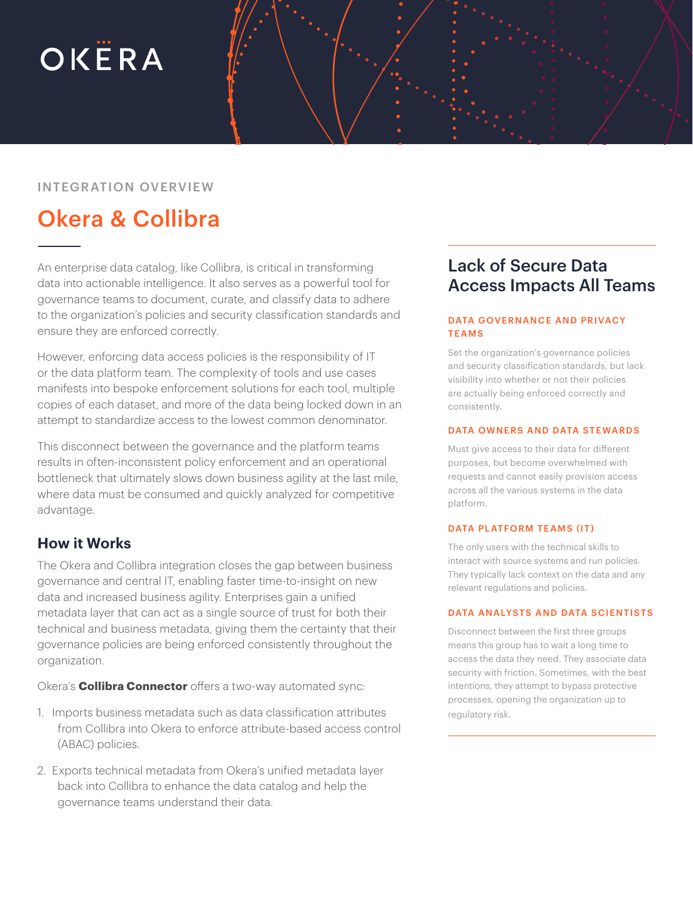# OKËRA

#### INTEGRATION OVERVIEW

## Okera & Collibra

An enterprise data catalog, like Collibra, is critical in transforming data into actionable intelligence. It also serves as a powerful tool for governance teams to document, curate, and classify data to adhere to the organization's policies and security classification standards and ensure they are enforced correctly.

However, enforcing data access policies is the responsibility of IT or the data platform team. The complexity of tools and use cases manifests into bespoke enforcement solutions for each tool, multiple copies of each dataset, and more of the data being locked down in an attempt to standardize access to the lowest common denominator.

This disconnect between the governance and the platform teams results in often-inconsistent policy enforcement and an operational bottleneck that ultimately slows down business agility at the last mile, where data must be consumed and quickly analyzed for competitive advantage.

#### **How it Works**

The Okera and Collibra integration closes the gap between business governance and central IT, enabling faster time-to-insight on new data and increased business agility. Enterprises gain a unified metadata layer that can act as a single source of trust for both their technical and business metadata, giving them the certainty that their governance policies are being enforced consistently throughout the organization.

Okera's **Collibra Connector** offers a two-way automated sync:

- 1. Imports business metadata such as data classification attributes from Collibra into Okera to enforce attribute-based access control (ABAC) policies.
- 2. Exports technical metadata from Okera's unified metadata layer back into Collibra to enhance the data catalog and help the governance teams understand their data.

### Lack of Secure Data Access Impacts All Teams

#### DATA GOVERNANCE AND PRIVACY **TEAMS**

Set the organization's governance policies and security classification standards, but lack visibility into whether or not their policies are actually being enforced correctly and consistently.

#### DATA OWNERS AND DATA STEWARDS

Must give access to their data for different purposes, but become overwhelmed with requests and cannot easily provision access across all the various systems in the data platform.

#### DATA PLATFORM TEAMS (IT)

The only users with the technical skills to interact with source systems and run policies. They typically lack context on the data and any relevant regulations and policies.

#### DATA ANALYSTS AND DATA SCIENTISTS

Disconnect between the first three groups means this group has to wait a long time to access the data they need. They associate data security with friction. Sometimes, with the best intentions, they attempt to bypass protective processes, opening the organization up to regulatory risk.